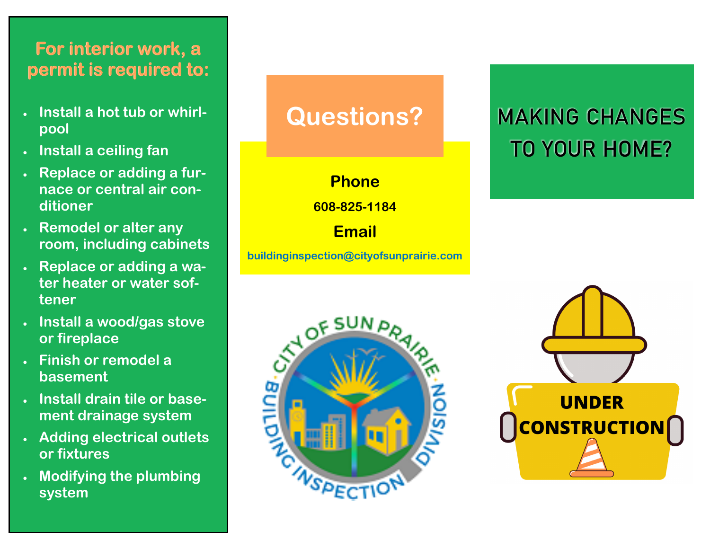#### **For interior work, a permit is required to:**

- **Install a hot tub or whirlpool**
- **Install a ceiling fan**
- **Replace or adding a furnace or central air conditioner**
- **Remodel or alter any room, including cabinets**
- **Replace or adding a water heater or water softener**
- **Install a wood/gas stove or fireplace**
- **Finish or remodel a basement**
- **Install drain tile or basement drainage system**
- **Adding electrical outlets or fixtures**
- **Modifying the plumbing system**

## **Questions?**

**Phone**

**608-825-1184**

**Email**

**buildinginspection@cityofsunprairie.com**



# MAKING CHANGES TO YOUR HOME?